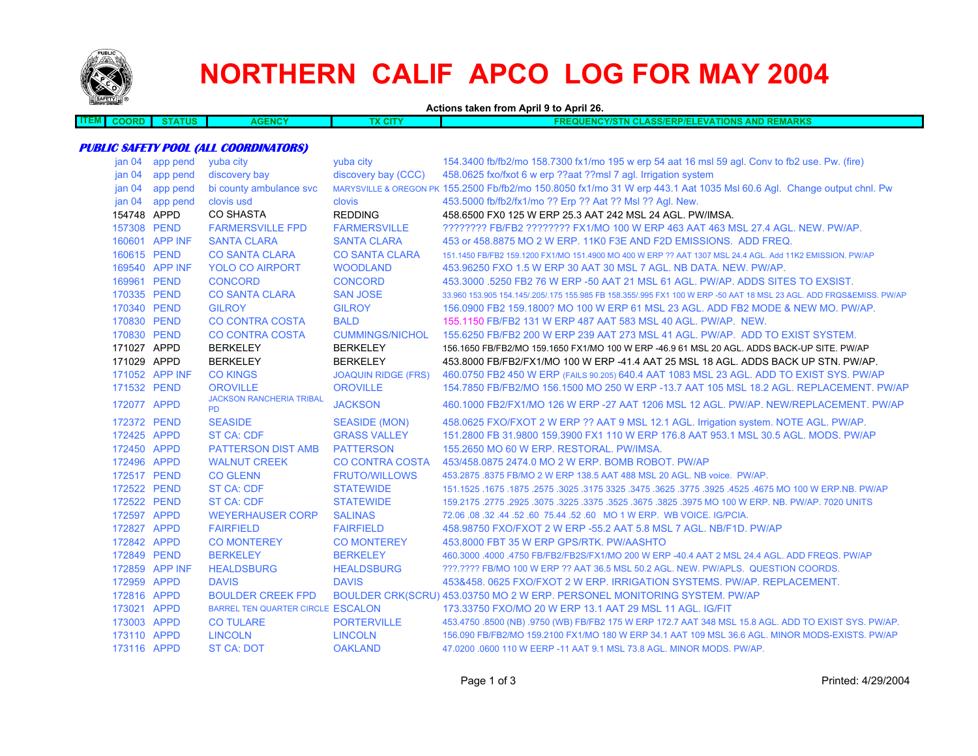

**ITEM**

## **NORTHERN CALIF APCO LOG FOR MAY 2004**

**Actions taken from April 9 to April 26. COORD STATUS AGENCY TX CITY FREQUENCY/STN CLASS/ERP/ELEVATIONS AND REMARKS**

## **PUBLIC SAFETY POOL (ALL COORDINATORS)**

| jan 04            | app pend       | yuba city                                    | yuba city                  | 154.3400 fb/fb2/mo 158.7300 fx1/mo 195 w erp 54 aat 16 msl 59 agl. Conv to fb2 use. Pw. (fire)                         |
|-------------------|----------------|----------------------------------------------|----------------------------|------------------------------------------------------------------------------------------------------------------------|
| jan <sub>04</sub> | app pend       | discovery bay                                | discovery bay (CCC)        | 458.0625 fxo/fxot 6 w erp ??aat ??msl 7 agl. Irrigation system                                                         |
| jan 04            | app pend       | bi county ambulance svc                      |                            | MARYSVILLE & OREGON PK 155.2500 Fb/fb2/mo 150.8050 fx1/mo 31 W erp 443.1 Aat 1035 Msl 60.6 Agl. Change output chnl. Pw |
| jan <sub>04</sub> | app pend       | clovis usd                                   | clovis                     | 453.5000 fb/fb2/fx1/mo ?? Erp ?? Aat ?? Msl ?? Aql. New.                                                               |
| 154748 APPD       |                | <b>CO SHASTA</b>                             | <b>REDDING</b>             | 458,6500 FX0 125 W ERP 25.3 AAT 242 MSL 24 AGL, PW/IMSA.                                                               |
| 157308 PEND       |                | <b>FARMERSVILLE FPD</b>                      | <b>FARMERSVILLE</b>        | ???????? FB/FB2 ???????? FX1/MO 100 W ERP 463 AAT 463 MSL 27.4 AGL. NEW. PW/AP.                                        |
|                   | 160601 APP INF | <b>SANTA CLARA</b>                           | <b>SANTA CLARA</b>         | 453 or 458.8875 MO 2 W ERP. 11K0 F3E AND F2D EMISSIONS. ADD FREQ.                                                      |
| 160615 PEND       |                | <b>CO SANTA CLARA</b>                        | <b>CO SANTA CLARA</b>      | 151.1450 FB/FB2 159.1200 FX1/MO 151.4900 MO 400 W ERP ?? AAT 1307 MSL 24.4 AGL, Add 11K2 EMISSION, PW/AP               |
|                   | 169540 APP INF | <b>YOLO CO AIRPORT</b>                       | <b>WOODLAND</b>            | 453,96250 FXO 1.5 W ERP 30 AAT 30 MSL 7 AGL, NB DATA, NEW, PW/AP.                                                      |
| 169961 PEND       |                | <b>CONCORD</b>                               | <b>CONCORD</b>             | 453,3000 .5250 FB2 76 W ERP -50 AAT 21 MSL 61 AGL. PW/AP, ADDS SITES TO EXSIST.                                        |
| 170335 PEND       |                | <b>CO SANTA CLARA</b>                        | <b>SAN JOSE</b>            | 33.960 153.905 154.145/.205/.175 155.985 FB 158.355/.995 FX1 100 W ERP -50 AAT 18 MSL 23 AGL. ADD FRQS&EMISS. PW/AP    |
| 170340 PEND       |                | <b>GILROY</b>                                | <b>GILROY</b>              | 156,0900 FB2 159,1800? MO 100 W ERP 61 MSL 23 AGL. ADD FB2 MODE & NEW MO. PW/AP.                                       |
| 170830 PEND       |                | <b>CO CONTRA COSTA</b>                       | <b>BALD</b>                | 155,1150 FB/FB2 131 W ERP 487 AAT 583 MSL 40 AGL, PW/AP, NEW.                                                          |
| 170830 PEND       |                | <b>CO CONTRA COSTA</b>                       | <b>CUMMINGS/NICHOL</b>     | 155,6250 FB/FB2 200 W ERP 239 AAT 273 MSL 41 AGL, PW/AP. ADD TO EXIST SYSTEM.                                          |
| 171027 APPD       |                | <b>BERKELEY</b>                              | <b>BERKELEY</b>            | 156.1650 FB/FB2/MO 159.1650 FX1/MO 100 W ERP -46.9 61 MSL 20 AGL. ADDS BACK-UP SITE. PW/AP                             |
| 171029 APPD       |                | <b>BERKELEY</b>                              | <b>BERKELEY</b>            | 453.8000 FB/FB2/FX1/MO 100 W ERP -41.4 AAT 25 MSL 18 AGL. ADDS BACK UP STN. PW/AP.                                     |
|                   | 171052 APP INF | <b>CO KINGS</b>                              | <b>JOAQUIN RIDGE (FRS)</b> | 460.0750 FB2 450 W ERP (FAILS 90.205) 640.4 AAT 1083 MSL 23 AGL. ADD TO EXIST SYS. PW/AP                               |
| 171532 PEND       |                | <b>OROVILLE</b>                              | <b>OROVILLE</b>            | 154.7850 FB/FB2/MO 156.1500 MO 250 W ERP -13.7 AAT 105 MSL 18.2 AGL, REPLACEMENT, PW/AP                                |
| 172077 APPD       |                | <b>JACKSON RANCHERIA TRIBAL</b><br><b>PD</b> | <b>JACKSON</b>             | 460.1000 FB2/FX1/MO 126 W ERP -27 AAT 1206 MSL 12 AGL, PW/AP, NEW/REPLACEMENT, PW/AP                                   |
| 172372 PEND       |                | <b>SEASIDE</b>                               | <b>SEASIDE (MON)</b>       | 458.0625 FXO/FXOT 2 W ERP ?? AAT 9 MSL 12.1 AGL. Irrigation system. NOTE AGL. PW/AP.                                   |
| 172425 APPD       |                | <b>ST CA: CDF</b>                            | <b>GRASS VALLEY</b>        | 151,2800 FB 31,9800 159,3900 FX1 110 W ERP 176.8 AAT 953.1 MSL 30.5 AGL, MODS, PW/AP                                   |
| 172450 APPD       |                | <b>PATTERSON DIST AMB</b>                    | <b>PATTERSON</b>           | 155.2650 MO 60 W ERP. RESTORAL. PW/IMSA.                                                                               |
| 172496 APPD       |                | <b>WALNUT CREEK</b>                          | <b>CO CONTRA COSTA</b>     | 453/458.0875 2474.0 MO 2 W ERP. BOMB ROBOT. PW/AP                                                                      |
| 172517 PEND       |                | <b>CO GLENN</b>                              | <b>FRUTO/WILLOWS</b>       | 453.2875 .8375 FB/MO 2 W ERP 138.5 AAT 488 MSL 20 AGL, NB voice, PW/AP.                                                |
| 172522 PEND       |                | <b>ST CA: CDF</b>                            | <b>STATEWIDE</b>           | 151.1525 .1675 .1675 .3625 .3775 .3925 .3925 .3925 .3775 .3925 .3775 .3925 .4525 .1675 .1677 .1625 .1677 .1525         |
| 172522 PEND       |                | <b>ST CA: CDF</b>                            | <b>STATEWIDE</b>           | 159.2175 .2775 .2925 .3075 .3225 .3675 .3675 .3825 .3975 MO 100 W ERP. NB. PW/AP. 7020 UNITS                           |
| 172597 APPD       |                | <b>WEYERHAUSER CORP</b>                      | <b>SALINAS</b>             | 72.06.08.32.44.52.60 75.44.52.60 MO 1 W ERP. WB VOICE. IG/PCIA.                                                        |
| 172827 APPD       |                | <b>FAIRFIELD</b>                             | <b>FAIRFIELD</b>           | 458,98750 FXO/FXOT 2 W ERP -55.2 AAT 5.8 MSL 7 AGL, NB/F1D, PW/AP                                                      |
| 172842 APPD       |                | <b>CO MONTEREY</b>                           | <b>CO MONTEREY</b>         | 453,8000 FBT 35 W ERP GPS/RTK, PW/AASHTO                                                                               |
| 172849 PEND       |                | <b>BERKELEY</b>                              | <b>BERKELEY</b>            | 460.3000 .4000 .4750 FB/FB2/FB2S/FX1/MO 200 W ERP -40.4 AAT 2 MSL 24.4 AGL. ADD FREQS. PW/AP                           |
|                   | 172859 APP INF | <b>HEALDSBURG</b>                            | <b>HEALDSBURG</b>          | ???.???? FB/MO 100 W ERP ?? AAT 36.5 MSL 50.2 AGL, NEW, PW/APLS. QUESTION COORDS.                                      |
| 172959 APPD       |                | <b>DAVIS</b>                                 | <b>DAVIS</b>               | 453&458, 0625 FXO/FXOT 2 W ERP, IRRIGATION SYSTEMS, PW/AP, REPLACEMENT.                                                |
| 172816 APPD       |                | <b>BOULDER CREEK FPD</b>                     |                            | BOULDER CRK(SCRU) 453.03750 MO 2 W ERP. PERSONEL MONITORING SYSTEM. PW/AP                                              |
| 173021 APPD       |                | BARREL TEN QUARTER CIRCLE ESCALON            |                            | 173.33750 FXO/MO 20 W ERP 13.1 AAT 29 MSL 11 AGL, IG/FIT                                                               |
| 173003 APPD       |                | <b>CO TULARE</b>                             | <b>PORTERVILLE</b>         | 453.4750 .8500 (NB) .9750 (WB) FB/FB2 175 W ERP 172.7 AAT 348 MSL 15.8 AGL. ADD TO EXIST SYS. PW/AP.                   |
| 173110 APPD       |                | <b>LINCOLN</b>                               | <b>LINCOLN</b>             | 156,090 FB/FB2/MO 159,2100 FX1/MO 180 W ERP 34.1 AAT 109 MSL 36.6 AGL. MINOR MODS-EXISTS, PW/AP                        |
| 173116 APPD       |                | <b>ST CA: DOT</b>                            | <b>OAKLAND</b>             | 47,0200,0600 110 W EERP -11 AAT 9.1 MSL 73.8 AGL, MINOR MODS, PW/AP.                                                   |
|                   |                |                                              |                            |                                                                                                                        |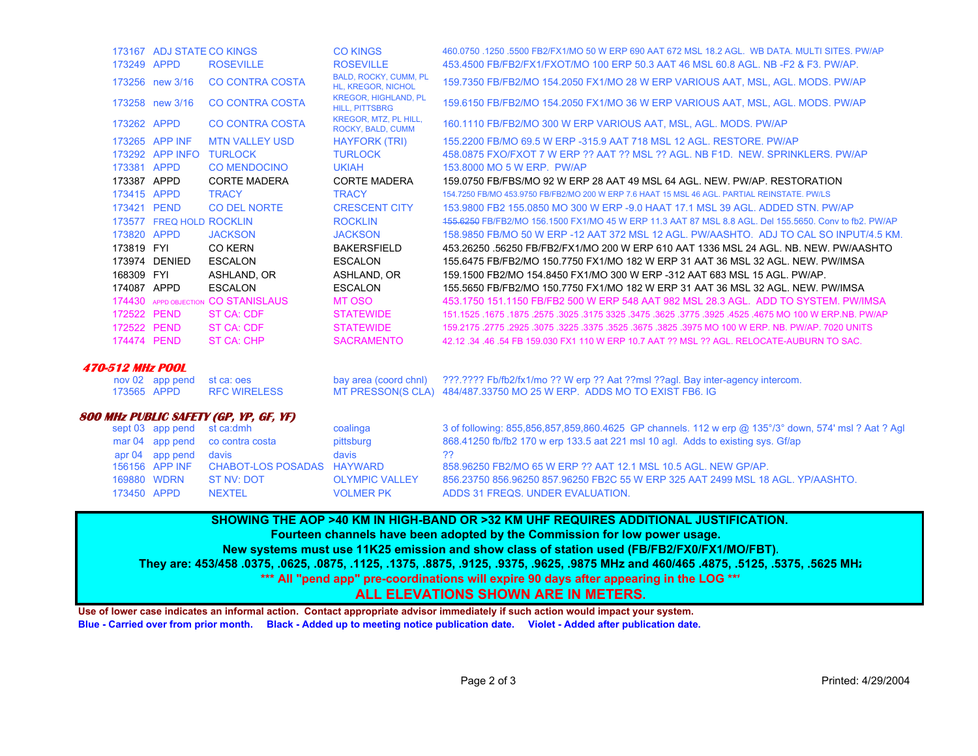|                            | 173167 ADJ STATE CO KINGS |                                        | <b>CO KINGS</b>                                      | 460.0750 .1250 .5500 FB2/FX1/MO 50 W ERP 690 AAT 672 MSL 18.2 AGL. WB DATA, MULTI SITES, PW/AP                      |
|----------------------------|---------------------------|----------------------------------------|------------------------------------------------------|---------------------------------------------------------------------------------------------------------------------|
| 173249 APPD                |                           | <b>ROSEVILLE</b>                       | <b>ROSEVILLE</b>                                     | 453.4500 FB/FB2/FX1/FXOT/MO 100 ERP 50.3 AAT 46 MSL 60.8 AGL, NB -F2 & F3, PW/AP,                                   |
|                            | 173256 new 3/16           | <b>CO CONTRA COSTA</b>                 | BALD, ROCKY, CUMM, PL<br>HL, KREGOR, NICHOL          | 159.7350 FB/FB2/MO 154.2050 FX1/MO 28 W ERP VARIOUS AAT, MSL, AGL. MODS. PW/AP                                      |
|                            | 173258 new 3/16           | <b>CO CONTRA COSTA</b>                 | <b>KREGOR, HIGHLAND, PL</b><br><b>HILL, PITTSBRG</b> | 159.6150 FB/FB2/MO 154.2050 FX1/MO 36 W ERP VARIOUS AAT, MSL, AGL, MODS, PW/AP                                      |
| 173262 APPD                |                           | <b>CO CONTRA COSTA</b>                 | KREGOR, MTZ, PL HILL,<br>ROCKY, BALD, CUMM           | 160.1110 FB/FB2/MO 300 W ERP VARIOUS AAT, MSL, AGL, MODS, PW/AP                                                     |
|                            | 173265 APP INF            | <b>MTN VALLEY USD</b>                  | <b>HAYFORK (TRI)</b>                                 | 155,2200 FB/MO 69.5 W ERP -315.9 AAT 718 MSL 12 AGL, RESTORE, PW/AP                                                 |
|                            | 173292 APP INFO           | <b>TURLOCK</b>                         | <b>TURLOCK</b>                                       | 458.0875 FXO/FXOT 7 W ERP ?? AAT ?? MSL ?? AGL, NB F1D, NEW, SPRINKLERS, PW/AP                                      |
| 173381 APPD                |                           | <b>CO MENDOCINO</b>                    | <b>UKIAH</b>                                         | 153,8000 MO 5 W ERP. PW/AP                                                                                          |
| 173387 APPD                |                           | <b>CORTE MADERA</b>                    | <b>CORTE MADERA</b>                                  | 159.0750 FB/FBS/MO 92 W ERP 28 AAT 49 MSL 64 AGL. NEW. PW/AP. RESTORATION                                           |
| 173415 APPD                |                           | <b>TRACY</b>                           | <b>TRACY</b>                                         | 154.7250 FB/MO 453.9750 FB/FB2/MO 200 W ERP 7.6 HAAT 15 MSL 46 AGL, PARTIAL REINSTATE, PW/LS                        |
| 173421 PEND                |                           | <b>CO DEL NORTE</b>                    | <b>CRESCENT CITY</b>                                 | 153,9800 FB2 155,0850 MO 300 W ERP -9.0 HAAT 17.1 MSL 39 AGL, ADDED STN, PW/AP                                      |
|                            | 173577 FREQ HOLD ROCKLIN  |                                        | <b>ROCKLIN</b>                                       | 155,6250 FB/FB2/MO 156,1500 FX1/MO 45 W ERP 11.3 AAT 87 MSL 8.8 AGL, Del 155,5650, Conv to fb2, PW/AP               |
| 173820 APPD                |                           | <b>JACKSON</b>                         | <b>JACKSON</b>                                       | 158,9850 FB/MO 50 W ERP-12 AAT 372 MSL 12 AGL, PW/AASHTO, ADJ TO CAL SO INPUT/4.5 KM.                               |
| 173819 FYI                 |                           | <b>CO KERN</b>                         | <b>BAKERSFIELD</b>                                   | 453.26250 .56250 FB/FB2/FX1/MO 200 W ERP 610 AAT 1336 MSL 24 AGL. NB. NEW. PW/AASHTO                                |
|                            | 173974 DENIED             | <b>ESCALON</b>                         | <b>ESCALON</b>                                       | 155.6475 FB/FB2/MO 150.7750 FX1/MO 182 W ERP 31 AAT 36 MSL 32 AGL. NEW. PW/IMSA                                     |
| 168309 FYI                 |                           | ASHLAND, OR                            | ASHLAND, OR                                          | 159.1500 FB2/MO 154.8450 FX1/MO 300 W ERP -312 AAT 683 MSL 15 AGL, PW/AP.                                           |
|                            |                           |                                        |                                                      |                                                                                                                     |
| 174087 APPD                |                           | <b>ESCALON</b>                         | <b>ESCALON</b>                                       | 155,5650 FB/FB2/MO 150,7750 FX1/MO 182 W ERP 31 AAT 36 MSL 32 AGL, NEW, PW/IMSA                                     |
|                            |                           | 174430 APPD OBJECTION CO STANISLAUS    | MT OSO                                               | 453.1750 151.1150 FB/FB2 500 W ERP 548 AAT 982 MSL 28.3 AGL. ADD TO SYSTEM, PW/IMSA                                 |
| 172522 PEND                |                           | <b>ST CA: CDF</b>                      | <b>STATEWIDE</b>                                     | 151.1525 .1675 .1675 .1675 .2575 .3025 .3475 .3625 .3475 .3625 .3775 .3925 .4525 .4675 .1679 .1679 .1675 .1679      |
| 172522 PEND                |                           | <b>ST CA: CDF</b>                      | <b>STATEWIDE</b>                                     | 159,2175,2775,2925,3075,3225,3375,3525,3675,3825,3975 MO 100 W ERP, NB, PW/AP, 7020 UNITS                           |
| 174474 PEND                |                           | <b>ST CA: CHP</b>                      | <b>SACRAMENTO</b>                                    | 42.12.34.46.54 FB 159.030 FX1 110 W ERP 10.7 AAT ?? MSL ?? AGL. RELOCATE-AUBURN TO SAC.                             |
| <b>470-512 MHz POOL</b>    |                           |                                        |                                                      |                                                                                                                     |
|                            | nov 02 app pend           | st ca: oes                             | bay area (coord chnl)                                | ???.???? Fb/fb2/fx1/mo ?? W erp ?? Aat ??msl ??aql. Bay inter-agency intercom.                                      |
| 173565 APPD                |                           | <b>RFC WIRELESS</b>                    |                                                      | MT PRESSON(S CLA) 484/487.33750 MO 25 W ERP. ADDS MO TO EXIST FB6. IG                                               |
|                            |                           | 800 MHz PUBLIC SAFETY (GP, YP, GF, YF) |                                                      |                                                                                                                     |
|                            | sept 03 app pend          | st ca:dmh                              | coalinga                                             | 3 of following: 855,856,857,859,860.4625 GP channels. 112 w erp @ 135°/3° down, 574' msl ? Aat ? Agl                |
|                            | mar 04 app pend           | co contra costa                        | pittsburg                                            | 868.41250 fb/fb2 170 w erp 133.5 aat 221 msl 10 agl. Adds to existing sys. Gf/ap                                    |
|                            | apr 04 app pend           | davis                                  | davis                                                | 22                                                                                                                  |
|                            | 156156 APP INF            | <b>CHABOT-LOS POSADAS</b>              | <b>HAYWARD</b>                                       | 858,96250 FB2/MO 65 W ERP ?? AAT 12.1 MSL 10.5 AGL, NEW GP/AP.                                                      |
| 169880 WDRN<br>173450 APPD |                           | <b>ST NV: DOT</b><br><b>NEXTEL</b>     | <b>OLYMPIC VALLEY</b><br><b>VOLMER PK</b>            | 856.23750 856.96250 857.96250 FB2C 55 W ERP 325 AAT 2499 MSL 18 AGL, YP/AASHTO.<br>ADDS 31 FREQS. UNDER EVALUATION. |

**SHOWING THE AOP >40 KM IN HIGH-BAND OR >32 KM UHF REQUIRES ADDITIONAL JUSTIFICATION.** 

**Fourteen channels have been adopted by the Commission for low power usage.** 

**New systems must use 11K25 emission and show class of station used (FB/FB2/FX0/FX1/MO/FBT).**

**They are: 453/458 .0375, .0625, .0875, .1125, .1375, .8875, .9125, .9375, .9625, .9875 MHz and 460/465 .4875, .5125, .5375, .5625 MHz**

**\*\*\* All "pend app" pre-coordinations will expire 90 days after appearing in the LOG \*\*\***

## **ALL ELEVATIONS SHOWN ARE IN METERS.**

**Use of lower case indicates an informal action. Contact appropriate advisor immediately if such action would impact your system. Blue - Carried over from prior month. Black - Added up to meeting notice publication date. Violet - Added after publication date.**